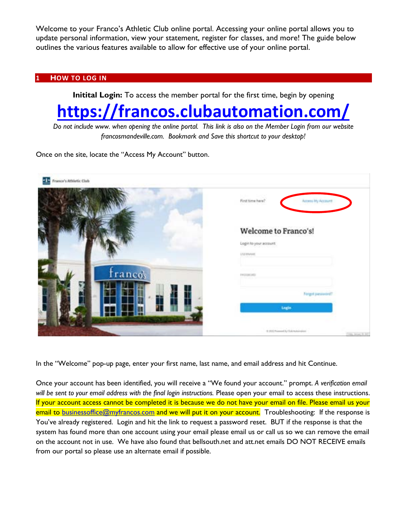Welcome to your Franco's Athletic Club online portal. Accessing your online portal allows you to update personal information, view your statement, register for classes, and more! The guide below outlines the various features available to allow for effective use of your online portal.

#### **1 HOW TO LOG IN**

**Initital Login:** To access the member portal for the first time, begin by opening

# **<https://francos.clubautomation.com/>**

*Do not include www. when opening the online portal. This link is also on the Member Login from our website francosmandeville.com. Bookmark and Save this shortcut to your desktop!*

Once on the site, locate the "Access My Account" button.

| Franco's Athletic Club<br>st s |                                                                   |
|--------------------------------|-------------------------------------------------------------------|
|                                | First time here?<br>Access My Account                             |
|                                | Welcome to Franco's!<br>Login to your account<br><b>USED MAIL</b> |
| tranco's                       | <b>CALL AND</b>                                                   |
|                                | Forgirt justineerd?<br>Legis                                      |
|                                | IL 2010 Powered by Club Automotives<br>Trans America Mill         |

In the "Welcome" pop-up page, enter your first name, last name, and email address and hit Continue.

Once your account has been identified, you will receive a "We found your account." prompt. *A verification email will be sent to your email address with the final login instructions.* Please open your email to access these instructions. If your account access cannot be completed it is because we do not have your email on file. Please email us your email to [businessoffice@myfrancos.com](mailto:businessoffice@myfrancos.com) and we will put it on your account. Troubleshooting: If the response is You've already registered. Login and hit the link to request a password reset. BUT if the response is that the system has found more than one account using your email please email us or call us so we can remove the email on the account not in use. We have also found that bellsouth.net and att.net emails DO NOT RECEIVE emails from our portal so please use an alternate email if possible.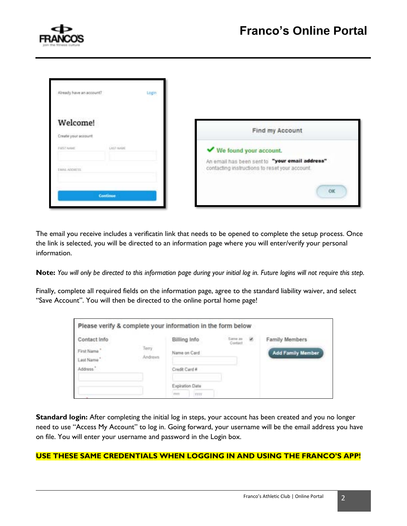

| Already, have an account?                          | Login |                                                                                                                            |
|----------------------------------------------------|-------|----------------------------------------------------------------------------------------------------------------------------|
| <b>Welcome!</b><br>Create your account             |       | Find my Account                                                                                                            |
| <b>DOT NAME</b><br>FIRST HAME.<br><b>MALADORES</b> |       | We found your account.<br>An email has been sent to "your email address"<br>contacting instructions to reset your account. |
| Continue                                           |       | OK                                                                                                                         |

The email you receive includes a verificatin link that needs to be opened to complete the setup process. Once the link is selected, you will be directed to an information page where you will enter/verify your personal information.

**Note:** *You will only be directed to this information page during your initial log in. Future logins will not require this step.* 

Finally, complete all required fields on the information page, agree to the standard liability waiver, and select "Save Account". You will then be directed to the online portal home page!

| Please verify & complete your information in the form below |                                           |                                                                          |                     |                                            |
|-------------------------------------------------------------|-------------------------------------------|--------------------------------------------------------------------------|---------------------|--------------------------------------------|
| Contact Info<br>First Name<br>Last Name"<br>Address'        | Terry<br>Andrews<br>- 8 1 1 1 1 1 1 1 1 1 | Billing Info<br>Name on Card<br>Credit Card #<br>Expiration Date<br>TEFE | Simon W.<br>Contact | Family Members<br><b>Add Family Member</b> |

**Standard login:** After completing the initial log in steps, your account has been created and you no longer need to use "Access My Account" to log in. Going forward, your username will be the email address you have on file. You will enter your username and password in the Login box.

#### **USE THESE SAME CREDENTIALS WHEN LOGGING IN AND USING THE FRANCO'S APP!**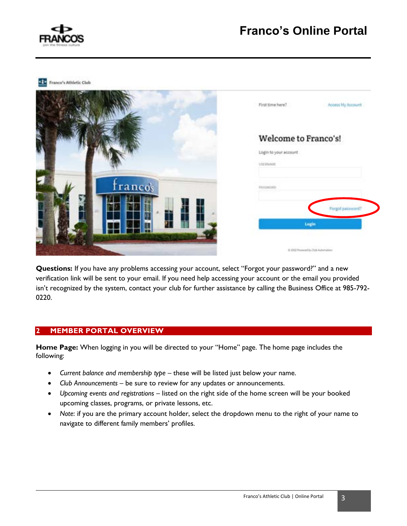

## **Franco's Online Portal**

**CID** Franco's Athletic Club

|               | First time here?<br>Access My Account                            |
|---------------|------------------------------------------------------------------|
| ř             | Welcome to Franco's!<br>Login to your account<br><b>USEBBARE</b> |
| Ę<br>franco's | NUMBER                                                           |
|               | Forgot password?<br>Login                                        |
|               | 8 2022 Powered by Club Automation                                |

**Questions:** If you have any problems accessing your account, select "Forgot your password?" and a new verification link will be sent to your email. If you need help accessing your account or the email you provided isn't recognized by the system, contact your club for further assistance by calling the Business Office at 985-792- 0220.

#### **2 MEMBER PORTAL OVERVIEW**

**Home Page:** When logging in you will be directed to your "Home" page. The home page includes the following:

- *Current balance and membership type* these will be listed just below your name.
- *Club Announcements* be sure to review for any updates or announcements.
- *Upcoming events and registrations* listed on the right side of the home screen will be your booked upcoming classes, programs, or private lessons, etc.
- *Note*: if you are the primary account holder, select the dropdown menu to the right of your name to navigate to different family members' profiles.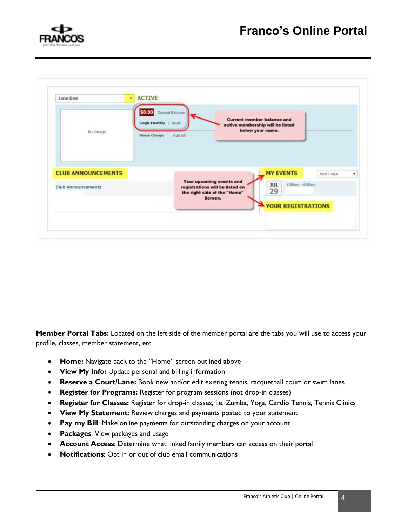



**Member Portal Tabs:** Located on the left side of the member portal are the tabs you will use to access your profile, classes, member statement, etc.

- **Home:** Navigate back to the "Home" screen outlined above
- **View My Info:** Update personal and billing information
- **Reserve a Court/Lane:** Book new and/or edit existing tennis, racquetball court or swim lanes
- **Register for Programs:** Register for program sessions (not drop-in classes)
- **Register for Classes:** Register for drop-in classes, i.e. Zumba, Yoga, Cardio Tennis, Tennis Clinics
- **View My Statement**: Review charges and payments posted to your statement
- **Pay my Bill**: Make online payments for outstanding charges on your account
- **Packages**: View packages and usage
- **Account Access**: Determine what linked family members can access on their portal
- **Notifications**: Opt in or out of club email communications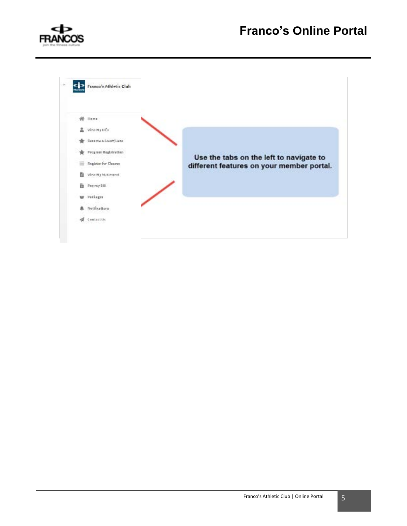

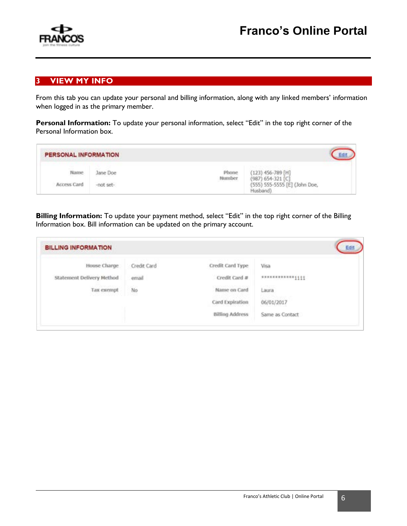

#### **3 VIEW MY INFO**

From this tab you can update your personal and billing information, along with any linked members' information when logged in as the primary member.

Personal Information: To update your personal information, select "Edit" in the top right corner of the Personal Information box.

| PERSONAL INFORMATION |           |                 |                                              |  |
|----------------------|-----------|-----------------|----------------------------------------------|--|
| Name                 | lane Doe  | Phone<br>Number | $(123)$ 456-789 [H]<br>$(987) 654 - 321$ [C] |  |
| Access Card          | -not set- |                 | (555) 555-5555 [E] (John Doe,<br>Husband)    |  |

**Billing Information:** To update your payment method, select "Edit" in the top right corner of the Billing Information box. Bill information can be updated on the primary account.

| <b>BILLING INFORMATION</b>                                                       |             |                        |                 |
|----------------------------------------------------------------------------------|-------------|------------------------|-----------------|
| House Charge                                                                     | Credit Card | Credit Card Type       | <b>Visa</b>     |
| Statement Delivery Method                                                        | email       | Credit Card #          |                 |
| and the short of a short<br>Tax exempt<br>the control of the control of the con- | No<br>92    | Name on Card           | Laura           |
|                                                                                  |             | Card Expiration        | 06/01/2017      |
|                                                                                  |             | <b>Billing Address</b> | Same as Contact |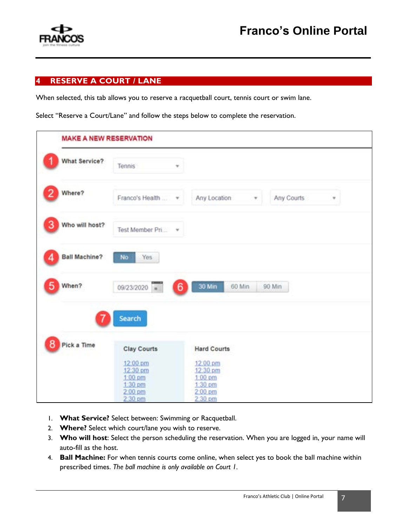

#### **4 RESERVE A COURT / LANE**

When selected, this tab allows you to reserve a racquetball court, tennis court or swim lane.

Select "Reserve a Court/Lane" and follow the steps below to complete the reservation.

| What Service?        | Tennis                         |                      |                 |
|----------------------|--------------------------------|----------------------|-----------------|
| Where?               | Franco's Health  v             | Any Location<br>π.   | Any Courts<br>۳ |
| Who will host?       | Test Member Pri *              |                      |                 |
| <b>Ball Machine?</b> | No<br>Yes                      |                      |                 |
| When?                | 09/23/2020<br>6<br>$\approx$   | 30 Min<br>60 Min     | 90 Min          |
|                      | Search                         |                      |                 |
| Pick a Time          | <b>Clay Courts</b>             | <b>Hard Courts</b>   |                 |
|                      | 12:00 pm<br>12:30 pm           | 12:00 pm<br>12:30 pm |                 |
|                      | $1.00 \text{ pm}$<br>$1:30$ pm | 1:00 pm<br>1:30 pm   |                 |
|                      | 2:00 pm<br>$2.30$ pm           | $2.00$ pm<br>2.30 pm |                 |

- 1. **What Service?** Select between: Swimming or Racquetball.
- 2. **Where?** Select which court/lane you wish to reserve.
- 3. **Who will host**: Select the person scheduling the reservation. When you are logged in, your name will auto-fill as the host.
- 4. **Ball Machine:** For when tennis courts come online, when select yes to book the ball machine within prescribed times. *The ball machine is only available on Court 1.*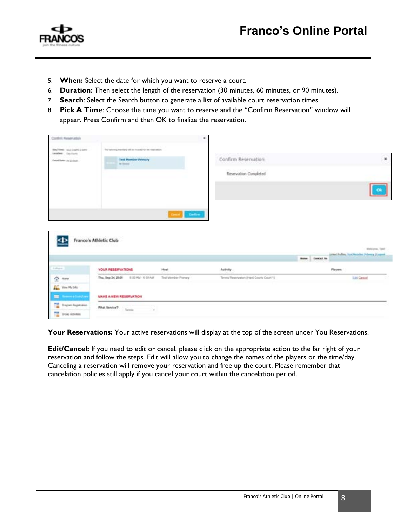



- 5. **When:** Select the date for which you want to reserve a court.
- 6. **Duration:** Then select the length of the reservation (30 minutes, 60 minutes, or 90 minutes).
- 7. **Search**: Select the Search button to generate a list of available court reservation times.
- 8. **Pick A Time**: Choose the time you want to reserve and the "Confirm Reservation" window will appear. Press Confirm and then OK to finalize the reservation.

| Conferri Flessenadors                              |                                                              | ٠                    |                                         |                |                                              |
|----------------------------------------------------|--------------------------------------------------------------|----------------------|-----------------------------------------|----------------|----------------------------------------------|
| Died Town: tour 2 come 2 com-<br>Another (in link) | The foreverse mentions will be invented for the inservations |                      |                                         |                |                                              |
| field fally published.                             | <b>Test Homber Primary</b><br>its beauty                     |                      | Confirm Reservation                     |                | ×                                            |
|                                                    |                                                              |                      | Reservation Completed                   |                |                                              |
|                                                    |                                                              |                      |                                         |                |                                              |
|                                                    |                                                              |                      |                                         |                |                                              |
|                                                    |                                                              |                      |                                         |                |                                              |
|                                                    |                                                              | Carline              |                                         |                |                                              |
|                                                    | Franco's Athletic Club                                       |                      |                                         |                |                                              |
|                                                    |                                                              |                      |                                         |                | Wekerte, Text                                |
|                                                    |                                                              |                      |                                         | more Ecotation | Lithod Public, Lost Metallet Primery Liugent |
| <b>Liftane</b>                                     | YOUR RESERVATIONS                                            | Howt                 | Activity                                |                | Players                                      |
| $\frac{A}{2}$ Here                                 | 0.00 AM - 0.30 AM<br>Thu, Sep 24, 2020                       | Test Marcher Pronany | Terms Reservators (Herd Courts Court 1) |                | Let Carton                                   |
| <b>ALL</b> Vest McDds                              |                                                              |                      |                                         |                |                                              |
| Ξ<br><b>Scoolers</b> in Links (Las                 | MAKE A NEW RESERVATION                                       |                      |                                         |                |                                              |
| n.<br><b>Program Registration</b>                  | What Service?<br>Tenta                                       |                      |                                         |                |                                              |

Your Reservations: Your active reservations will display at the top of the screen under You Reservations.

**Edit/Cancel:** If you need to edit or cancel, please click on the appropriate action to the far right of your reservation and follow the steps. Edit will allow you to change the names of the players or the time/day. Canceling a reservation will remove your reservation and free up the court. Please remember that cancelation policies still apply if you cancel your court within the cancelation period.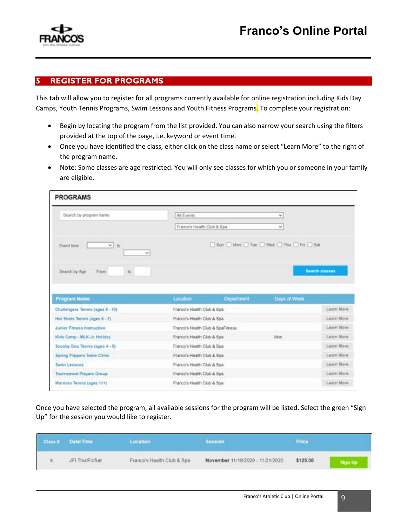

#### **5 REGISTER FOR PROGRAMS**

This tab will allow you to register for all programs currently available for online registration including Kids Day Camps, Youth Tennis Programs, Swim Lessons and Youth Fitness Programs. To complete your registration:

- Begin by locating the program from the list provided. You can also narrow your search using the filters provided at the top of the page, i.e. keyword or event time.
- Once you have identified the class, either click on the class name or select "Learn More" to the right of the program name.
- Note: Some classes are age restricted. You will only see classes for which you or someone in your family are eligible.

| Search by program name                                                                                                                                                                                                                       | All Events                       |            | ا ب                                     |                                                      |
|----------------------------------------------------------------------------------------------------------------------------------------------------------------------------------------------------------------------------------------------|----------------------------------|------------|-----------------------------------------|------------------------------------------------------|
|                                                                                                                                                                                                                                              | Franco's Health Club & Spa       |            | w.                                      |                                                      |
| $\times$ to<br>Event time<br>v.                                                                                                                                                                                                              |                                  |            | Sun I Mon I Tue I Wed I Thu I Fri I Sat |                                                      |
| Search by Age<br>to<br>From                                                                                                                                                                                                                  |                                  |            |                                         | <b>Search classes</b>                                |
|                                                                                                                                                                                                                                              | Location                         | Department | Days of Week                            |                                                      |
|                                                                                                                                                                                                                                              |                                  |            |                                         |                                                      |
|                                                                                                                                                                                                                                              | Franco's Health Club & Spa       |            |                                         |                                                      |
|                                                                                                                                                                                                                                              | Franco's Health Club & Spa       |            |                                         |                                                      |
|                                                                                                                                                                                                                                              | Franco's Health Club & SpaFfness |            |                                         |                                                      |
|                                                                                                                                                                                                                                              | Franco's Health Club & Spa       |            | Man                                     | Learn More<br>Learn More<br>Learn More<br>Learn More |
|                                                                                                                                                                                                                                              | Franco's Health Club & Spa       |            |                                         | Learn More                                           |
| Program Name                                                                                                                                                                                                                                 | Franco's Health Club & Spa       |            |                                         | Learn More                                           |
|                                                                                                                                                                                                                                              | Franco's Health Club & Spa       |            |                                         | Lisarn More                                          |
| Challengers Tennis (ages 8 - 10)<br>Hot Shots Tennis (ages 6 - 7)<br>Junior Fitness Instruction<br>Kids Camp - MLK Jr. Holiday<br>Scoolty Doo Tennis (ages 4 - 5)<br>Spring Flippers Swim Clinic<br>Swim Lessons<br>Tournament Players Group | Franco's Health Club & Spa       |            |                                         | Learn More                                           |

Once you have selected the program, all available sessions for the program will be listed. Select the green "Sign Up" for the session you would like to register.

| Class # Date/Time                                      | Location                   | Session                          | Price                        |  |
|--------------------------------------------------------|----------------------------|----------------------------------|------------------------------|--|
| JFI Thu Fri Sat.<br>the property of the control of the | Franco's Health Club & Spa | November 11/19/2020 - 11/21/2020 | \$125.00<br><b>RADY ROOM</b> |  |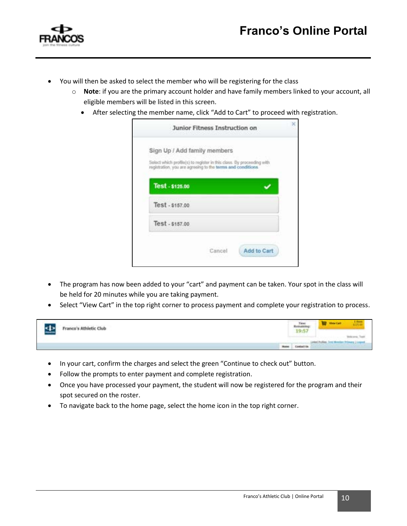



- You will then be asked to select the member who will be registering for the class
	- o **Note**: if you are the primary account holder and have family members linked to your account, all eligible members will be listed in this screen.
		- After selecting the member name, click "Add to Cart" to proceed with registration.

| Sign Up / Add family members                                                                                                         |  |
|--------------------------------------------------------------------------------------------------------------------------------------|--|
| Select which profile(s) to register in this class. By proceeding with<br>registration, you are agreeing to the terms and conditions. |  |
|                                                                                                                                      |  |
| Test - \$125.00                                                                                                                      |  |
| Test - \$157.00                                                                                                                      |  |
| Test - \$157.00                                                                                                                      |  |
|                                                                                                                                      |  |

- The program has now been added to your "cart" and payment can be taken. Your spot in the class will be held for 20 minutes while you are taking payment.
- Select "View Cart" in the top right corner to process payment and complete your registration to process.

| ٠<br>Franco's Athletic Club<br>-- |                  | 19:57               | Viete Carl<br>-<br>Writtsma, Text? |
|-----------------------------------|------------------|---------------------|------------------------------------|
|                                   | <b>Hilteries</b> | <b>Contract Man</b> | Visibles), Text Monday, Belazzer 1 |

- In your cart, confirm the charges and select the green "Continue to check out" button.
- Follow the prompts to enter payment and complete registration.
- Once you have processed your payment, the student will now be registered for the program and their spot secured on the roster.
- To navigate back to the home page, select the home icon in the top right corner.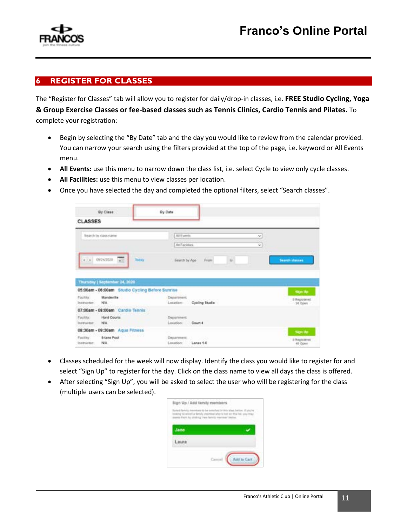

#### **6 REGISTER FOR CLASSES**

The "Register for Classes" tab will allow you to register for daily/drop-in classes, i.e. **FREE Studio Cycling, Yoga & Group Exercise Classes or fee-based classes such as Tennis Clinics, Cardio Tennis and Pilates.** To complete your registration:

- Begin by selecting the "By Date" tab and the day you would like to review from the calendar provided. You can narrow your search using the filters provided at the top of the page, i.e. keyword or All Events menu.
- All Events: use this menu to narrow down the class list, i.e. select Cycle to view only cycle classes.
- **All Facilities:** use this menu to view classes per location.
- Once you have selected the day and completed the optional filters, select "Search classes".

| <b>CLASSES</b>                                            | By Class                                        | By Date                         |                |                |                                      |
|-----------------------------------------------------------|-------------------------------------------------|---------------------------------|----------------|----------------|--------------------------------------|
|                                                           | Search by class name                            | All Events<br>At Facilies       |                | ×<br>ishi<br>v |                                      |
|                                                           | GOV 09242020 WH<br><b>Total</b>                 | Bearch by Age                   | Frem:          | is.            | Search slauses.                      |
|                                                           | Thursday   September 24, 2020                   |                                 |                |                |                                      |
|                                                           | 05:00am - 06:00am Studio Cycling Before Sunrise |                                 |                |                |                                      |
|                                                           | Mandeville<br>N/A                               | Department:<br>Lession          | Cycling Studio |                | Sign Up<br>5 Registered<br>: 30 Open |
|                                                           | 07:00am - 08:00am Cardio Tennis                 |                                 |                |                |                                      |
|                                                           | <b>Hard Courts</b><br>N/A                       | Department:<br>Legation Court 4 |                |                |                                      |
| Facility:<br>Instructor:<br>Facility:<br><b>INVENIERE</b> | 08:30am - 09:30am Agua Fitness                  |                                 |                |                | <b>Sign Up</b>                       |

- Classes scheduled for the week will now display. Identify the class you would like to register for and select "Sign Up" to register for the day. Click on the class name to view all days the class is offered.
- After selecting "Sign Up", you will be asked to select the user who will be registering for the class (multiple users can be selected).

| Jane |
|------|
|      |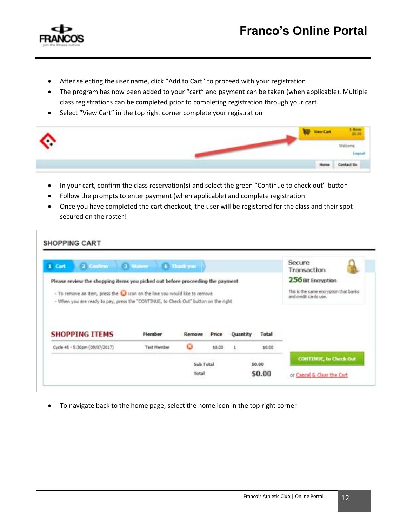

- After selecting the user name, click "Add to Cart" to proceed with your registration
- The program has now been added to your "cart" and payment can be taken (when applicable). Multiple class registrations can be completed prior to completing registration through your cart.
- Select "View Cart" in the top right corner complete your registration

| ᄾ  | <b>View Cart</b>  |                                                               |
|----|-------------------|---------------------------------------------------------------|
| л. |                   | leighin                                                       |
|    | <b>STATISTICS</b> | <b>College Inc.</b><br>the company of the company of the com- |

- In your cart, confirm the class reservation(s) and select the green "Continue to check out" button
- Follow the prompts to enter payment (when applicable) and complete registration
- Once you have completed the cart checkout, the user will be registered for the class and their spot secured on the roster!

| 2 Confirm<br>1 Cart                                                                                                                                                                                                                                 | 3 Walver           | 6 Thank you |        |          |        | Secure<br>Transaction                                                                 |
|-----------------------------------------------------------------------------------------------------------------------------------------------------------------------------------------------------------------------------------------------------|--------------------|-------------|--------|----------|--------|---------------------------------------------------------------------------------------|
| Please review the shopping items you picked out before proceeding the payment<br>- To remove an item, press the to icon on the line you would like to remove<br>- When you are ready to pay, press the "CONTINUE, to Check Out" button on the right |                    |             |        |          |        | 256 Bit Encryption<br>This is the same encryption that banks<br>and credit cards use. |
|                                                                                                                                                                                                                                                     |                    |             |        |          |        |                                                                                       |
|                                                                                                                                                                                                                                                     | <b>Member</b>      | Rensove     | Price  | Quantity | Total  |                                                                                       |
|                                                                                                                                                                                                                                                     | <b>Test Member</b> | ø           | \$0.00 |          | \$0.00 |                                                                                       |
| <b>SHOPPING ITEMS</b><br>Cycle 45 - 5:30pm (09/07/2017)                                                                                                                                                                                             |                    | Sub Total   |        |          | 50.00  | <b>CONTINUE</b> , to Check Out                                                        |

• To navigate back to the home page, select the home icon in the top right corner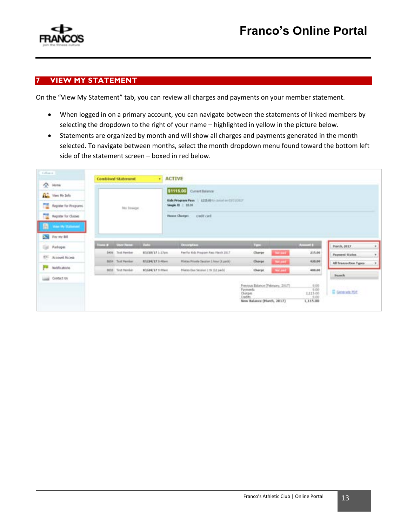

#### **7 VIEW MY STATEMENT**

On the "View My Statement" tab, you can review all charges and payments on your member statement.

- When logged in on a primary account, you can navigate between the statements of linked members by selecting the dropdown to the right of your name – highlighted in yellow in the picture below.
- Statements are organized by month and will show all charges and payments generated in the month selected. To navigate between months, select the month dropdown menu found toward the bottom left side of the statement screen – boxed in red below.

| Colleges                                                              |            | <b>Combined Statement</b>     |                                                                                                        | · ACTIVE                               |             |                 |                    |                       |
|-----------------------------------------------------------------------|------------|-------------------------------|--------------------------------------------------------------------------------------------------------|----------------------------------------|-------------|-----------------|--------------------|-----------------------|
| $\sum_{i=1}^{n}$ Hotel                                                |            |                               | \$1115.00<br>Current Balance                                                                           |                                        |             |                 |                    |                       |
| <b>Q<sub>m</sub></b> View Hy 3rds                                     | No Sosign: |                               | <b>STATISTICS</b><br>Kids Program Pass   8225-00 to cannel an ES/23/2027<br><b>Neight 22 - 1 81.00</b> |                                        |             |                 |                    |                       |
| <b>Register for Programs</b>                                          |            |                               |                                                                                                        |                                        |             |                 |                    |                       |
| Register for Claimer                                                  |            |                               |                                                                                                        | credit card<br>House Charge:           |             |                 |                    |                       |
| 撒<br>View Hy Statement                                                |            |                               |                                                                                                        |                                        |             |                 |                    |                       |
|                                                                       |            |                               |                                                                                                        |                                        |             |                 |                    |                       |
| <b>DE Par My Bill</b>                                                 |            |                               |                                                                                                        |                                        |             |                 |                    |                       |
| <b>Packages</b>                                                       |            | <b>Trans # 10 Short Romer</b> | <b>DECK</b>                                                                                            | <b>Counselos</b>                       | <b>Free</b> |                 | <b>Accord Book</b> | Harch, 2017           |
|                                                                       |            | 5456 Text Heroker             | 83/38/17 1/17pm                                                                                        | Fee For Hols Program Pass March 2017.  | Charge      | <b>Not part</b> | 215.00             | <b>Paument States</b> |
|                                                                       |            | BIS4 Test Herdai              | 83/24/17 1-46am                                                                                        | Plates Private Section 1 hour (K path) | Charge      | <b>Not paid</b> | 426.00             | All Transaction Types |
| hotfication                                                           |            | BESS Test Heriker             | 63/24/17 9:45am                                                                                        | Pliates Dan Session 1 Hr 112 padd      | Charge.     | <b>Not paid</b> |                    | <b>CONTRACTOR</b>     |
| <b>Gal</b><br>ETC. Account Access<br>p.<br><b>Link</b><br>Contact Uni |            |                               |                                                                                                        |                                        |             |                 | 485.00             | Search                |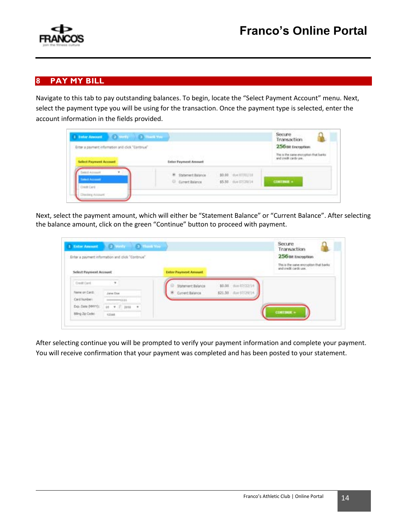



### **8 PAY MY BILL**

Navigate to this tab to pay outstanding balances. To begin, locate the "Select Payment Account" menu. Next, select the payment type you will be using for the transaction. Once the payment type is selected, enter the account information in the fields provided.

| 1 Inter Associate 2 Verly 10 3 Thank You<br>Eriter a payment information and click "Continue"<br><b>Select Payment Account</b> | <b>Sater Payment Aronart</b>                                                                             | Transaction<br>256 Bit Encryption<br>This is the same encryption that be<br>and easily cards use. |
|--------------------------------------------------------------------------------------------------------------------------------|----------------------------------------------------------------------------------------------------------|---------------------------------------------------------------------------------------------------|
| <b>WANT Account</b>                                                                                                            | \$0.00 doe.07/01/18<br><b>III</b> Statement Balance<br>\$5.50 (the 07/29/14)<br><b>U</b> Current Balance | CONTINUE =                                                                                        |

Next, select the payment amount, which will either be "Statement Balance" or "Current Balance". After selecting the balance amount, click on the green "Continue" button to proceed with payment.

| 1 Xater Amount<br><b>Select Payment Account</b> | <b>County Official</b><br>Enter a payment information and click "Continue" | <b>Enter Payment Amount</b> |                      | Secure<br>Transaction<br>256 Bit Encryption<br>This is the sales encryption that backs<br>and overlo cards use. |
|-------------------------------------------------|----------------------------------------------------------------------------|-----------------------------|----------------------|-----------------------------------------------------------------------------------------------------------------|
| Dreft Card                                      | $-9.1$                                                                     | <b>Statement Balance</b>    | \$9.00 min (2/22/14) |                                                                                                                 |
| <b>Tiene on Card </b>                           | Jane Dies                                                                  | <b>P</b> Current Balance    | \$21.50 die 07/29/14 |                                                                                                                 |
| Card Navbers                                    | $+111$                                                                     |                             |                      |                                                                                                                 |
| Exp. Date (MHY)).                               | $11 + 7$ 2011 $+$                                                          |                             |                      |                                                                                                                 |
| Bling Zip Code:                                 | <b>TISAS</b>                                                               |                             |                      | <b>CONTINUE »</b>                                                                                               |

After selecting continue you will be prompted to verify your payment information and complete your payment. You will receive confirmation that your payment was completed and has been posted to your statement.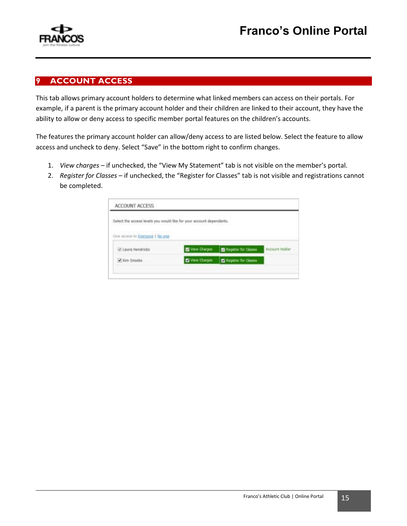

#### **9 ACCOUNT ACCESS**

This tab allows primary account holders to determine what linked members can access on their portals. For example, if a parent is the primary account holder and their children are linked to their account, they have the ability to allow or deny access to specific member portal features on the children's accounts.

The features the primary account holder can allow/deny access to are listed below. Select the feature to allow access and uncheck to deny. Select "Save" in the bottom right to confirm changes.

- 1. *View charges* if unchecked, the "View My Statement" tab is not visible on the member's portal.
- 2. *Register for Classes* if unchecked, the "Register for Classes" tab is not visible and registrations cannot be completed.

| Select the access levels you would like for your account dependants. |                      |                      |                |
|----------------------------------------------------------------------|----------------------|----------------------|----------------|
|                                                                      |                      |                      |                |
| <b>NATIONAL PROPERTY AND INTERNATIONAL PROPERTY</b>                  |                      |                      |                |
| Give access to Everyone I No and                                     |                      |                      |                |
| V. Laura Hendricks                                                   | <b>E</b> Vew Charges | Register for Classes | Account Holder |